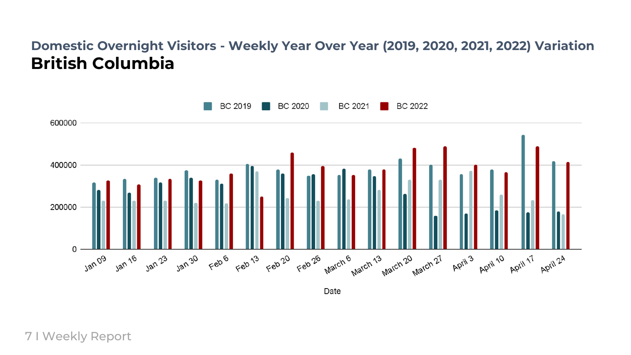## **Domestic Overnight Visitors - Weekly Year Over Year (2019, 2020, 2021, 2022) Variation British Columbia**



Date

7 I Weekly Report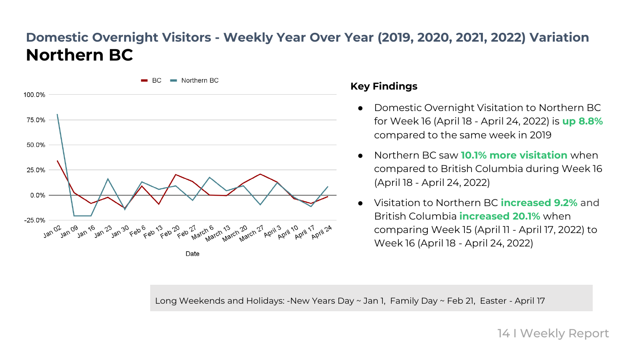# **Domestic Overnight Visitors - Weekly Year Over Year (2019, 2020, 2021, 2022) Variation Northern BC**



#### **Key Findings**

- Domestic Overnight Visitation to Northern BC for Week 16 (April 18 - April 24, 2022) is **up 8.8%** compared to the same week in 2019
- Northern BC saw **10.1% more visitation** when compared to British Columbia during Week 16 (April 18 - April 24, 2022)
- Visitation to Northern BC **increased 9.2%** and British Columbia **increased 20.1%** when comparing Week 15 (April 11 - April 17, 2022) to Week 16 (April 18 - April 24, 2022)

Long Weekends and Holidays: -New Years Day ~ Jan 1, Family Day ~ Feb 21, Easter - April 17

14 I Weekly Report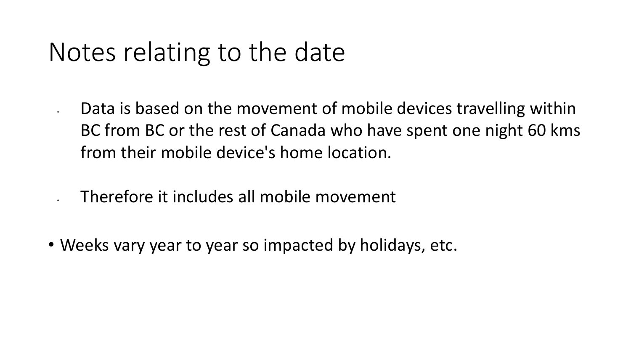# Notes relating to the date

Data is based on the movement of mobile devices travelling within BC from BC or the rest of Canada who have spent one night 60 kms from their mobile device's home location.

• Therefore it includes all mobile movement

• Weeks vary year to year so impacted by holidays, etc.